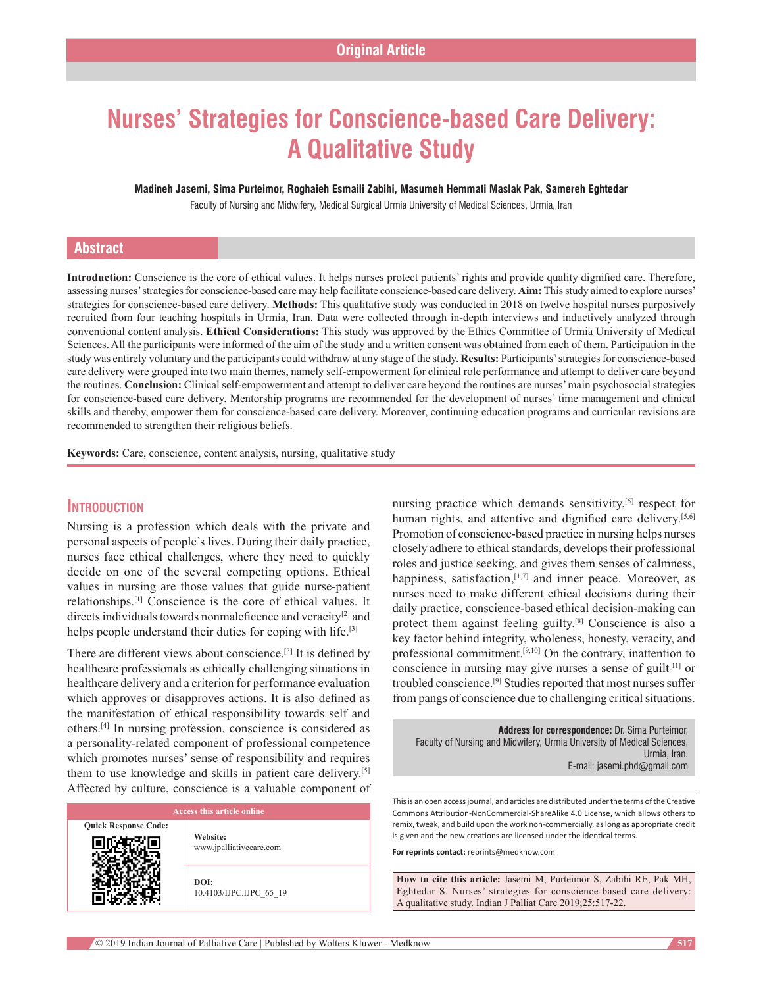# **Nurses' Strategies for Conscience‑based Care Delivery: A Qualitative Study**

**Madineh Jasemi, Sima Purteimor, Roghaieh Esmaili Zabihi, Masumeh Hemmati Maslak Pak, Samereh Eghtedar**

Faculty of Nursing and Midwifery, Medical Surgical Urmia University of Medical Sciences, Urmia, Iran

# **Abstract**

**Introduction:** Conscience is the core of ethical values. It helps nurses protect patients' rights and provide quality dignified care. Therefore, assessing nurses' strategies for conscience-based care may help facilitate conscience-based care delivery. **Aim:** This study aimed to explore nurses' strategies for conscience-based care delivery. **Methods:** This qualitative study was conducted in 2018 on twelve hospital nurses purposively recruited from four teaching hospitals in Urmia, Iran. Data were collected through in‑depth interviews and inductively analyzed through conventional content analysis. **Ethical Considerations:** This study was approved by the Ethics Committee of Urmia University of Medical Sciences. All the participants were informed of the aim of the study and a written consent was obtained from each of them. Participation in the study was entirely voluntary and the participants could withdraw at any stage of the study. **Results:** Participants' strategies for conscience‑based care delivery were grouped into two main themes, namely self‑empowerment for clinical role performance and attempt to deliver care beyond the routines. **Conclusion:** Clinical self-empowerment and attempt to deliver care beyond the routines are nurses' main psychosocial strategies for conscience-based care delivery. Mentorship programs are recommended for the development of nurses' time management and clinical skills and thereby, empower them for conscience-based care delivery. Moreover, continuing education programs and curricular revisions are recommended to strengthen their religious beliefs.

**Keywords:** Care, conscience, content analysis, nursing, qualitative study

# **Introduction**

Nursing is a profession which deals with the private and personal aspects of people's lives. During their daily practice, nurses face ethical challenges, where they need to quickly decide on one of the several competing options. Ethical values in nursing are those values that guide nurse-patient relationships.[1] Conscience is the core of ethical values. It directs individuals towards nonmaleficence and veracity<sup>[2]</sup> and helps people understand their duties for coping with life.<sup>[3]</sup>

There are different views about conscience.[3] It is defined by healthcare professionals as ethically challenging situations in healthcare delivery and a criterion for performance evaluation which approves or disapproves actions. It is also defined as the manifestation of ethical responsibility towards self and others.[4] In nursing profession, conscience is considered as a personality‑related component of professional competence which promotes nurses' sense of responsibility and requires them to use knowledge and skills in patient care delivery.[5] Affected by culture, conscience is a valuable component of

| Access this article online  |                                     |  |
|-----------------------------|-------------------------------------|--|
| <b>Quick Response Code:</b> | Website:<br>www.jpalliativecare.com |  |
|                             | DOI:<br>10.4103/IJPC.IJPC 65 19     |  |

nursing practice which demands sensitivity,<sup>[5]</sup> respect for human rights, and attentive and dignified care delivery.<sup>[5,6]</sup> Promotion of conscience-based practice in nursing helps nurses closely adhere to ethical standards, develops their professional roles and justice seeking, and gives them senses of calmness, happiness, satisfaction,<sup>[1,7]</sup> and inner peace. Moreover, as nurses need to make different ethical decisions during their daily practice, conscience-based ethical decision-making can protect them against feeling guilty.[8] Conscience is also a key factor behind integrity, wholeness, honesty, veracity, and professional commitment.[9,10] On the contrary, inattention to conscience in nursing may give nurses a sense of guilt $[11]$  or troubled conscience.[9] Studies reported that most nurses suffer from pangs of conscience due to challenging critical situations.

| <b>Address for correspondence: Dr. Sima Purteimor.</b>                  |
|-------------------------------------------------------------------------|
| Faculty of Nursing and Midwifery, Urmia University of Medical Sciences, |
| Urmia, Iran.                                                            |
| E-mail: jasemi.phd@gmail.com                                            |

This is an open access journal, and articles are distributed under the terms of the Creative Commons Attribution‑NonCommercial‑ShareAlike 4.0 License, which allows others to remix, tweak, and build upon the work non‑commercially, as long as appropriate credit is given and the new creations are licensed under the identical terms.

**For reprints contact:** reprints@medknow.com

**How to cite this article:** Jasemi M, Purteimor S, Zabihi RE, Pak MH, Eghtedar S. Nurses' strategies for conscience-based care delivery: A qualitative study. Indian J Palliat Care 2019;25:517-22.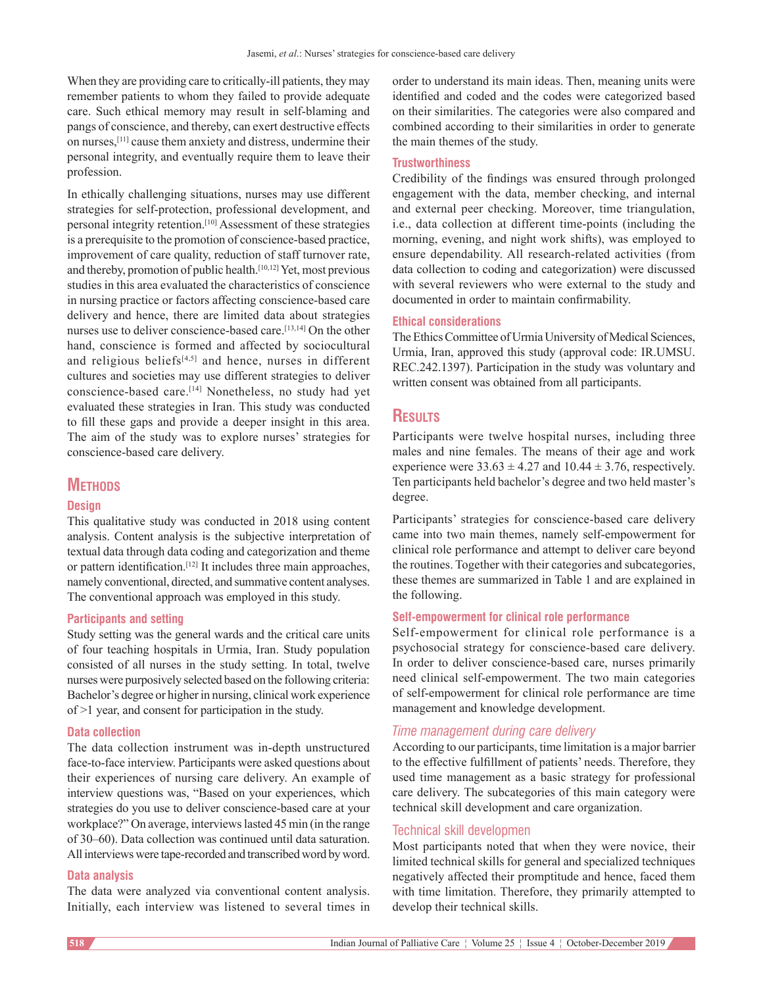When they are providing care to critically-ill patients, they may remember patients to whom they failed to provide adequate care. Such ethical memory may result in self-blaming and pangs of conscience, and thereby, can exert destructive effects on nurses,[11] cause them anxiety and distress, undermine their personal integrity, and eventually require them to leave their profession.

In ethically challenging situations, nurses may use different strategies for self‑protection, professional development, and personal integrity retention.[10] Assessment of these strategies is a prerequisite to the promotion of conscience-based practice, improvement of care quality, reduction of staff turnover rate, and thereby, promotion of public health.[10,12] Yet, most previous studies in this area evaluated the characteristics of conscience in nursing practice or factors affecting conscience-based care delivery and hence, there are limited data about strategies nurses use to deliver conscience-based care.<sup>[13,14]</sup> On the other hand, conscience is formed and affected by sociocultural and religious beliefs $[4,5]$  and hence, nurses in different cultures and societies may use different strategies to deliver conscience-based care.<sup>[14]</sup> Nonetheless, no study had yet evaluated these strategies in Iran. This study was conducted to fill these gaps and provide a deeper insight in this area. The aim of the study was to explore nurses' strategies for conscience-based care delivery.

# **METHODS**

#### **Design**

This qualitative study was conducted in 2018 using content analysis. Content analysis is the subjective interpretation of textual data through data coding and categorization and theme or pattern identification.[12] It includes three main approaches, namely conventional, directed, and summative content analyses. The conventional approach was employed in this study.

## **Participants and setting**

Study setting was the general wards and the critical care units of four teaching hospitals in Urmia, Iran. Study population consisted of all nurses in the study setting. In total, twelve nurses were purposively selected based on the following criteria: Bachelor's degree or higher in nursing, clinical work experience of >1 year, and consent for participation in the study.

#### **Data collection**

The data collection instrument was in-depth unstructured face–to–face interview. Participants were asked questions about their experiences of nursing care delivery. An example of interview questions was, "Based on your experiences, which strategies do you use to deliver conscience‑based care at your workplace?" On average, interviews lasted 45 min (in the range of 30–60). Data collection was continued until data saturation. All interviews were tape-recorded and transcribed word by word.

# **Data analysis**

The data were analyzed via conventional content analysis. Initially, each interview was listened to several times in order to understand its main ideas. Then, meaning units were identified and coded and the codes were categorized based on their similarities. The categories were also compared and combined according to their similarities in order to generate the main themes of the study.

# **Trustworthiness**

Credibility of the findings was ensured through prolonged engagement with the data, member checking, and internal and external peer checking. Moreover, time triangulation, i.e., data collection at different time-points (including the morning, evening, and night work shifts), was employed to ensure dependability. All research-related activities (from data collection to coding and categorization) were discussed with several reviewers who were external to the study and documented in order to maintain confirmability.

## **Ethical considerations**

The Ethics Committee of Urmia University of Medical Sciences, Urmia, Iran, approved this study (approval code: IR.UMSU. REC.242.1397). Participation in the study was voluntary and written consent was obtained from all participants.

# **Results**

Participants were twelve hospital nurses, including three males and nine females. The means of their age and work experience were  $33.63 \pm 4.27$  and  $10.44 \pm 3.76$ , respectively. Ten participants held bachelor's degree and two held master's degree.

Participants' strategies for conscience-based care delivery came into two main themes, namely self-empowerment for clinical role performance and attempt to deliver care beyond the routines. Together with their categories and subcategories, these themes are summarized in Table 1 and are explained in the following.

# **Self‑empowerment for clinical role performance**

Self-empowerment for clinical role performance is a psychosocial strategy for conscience‑based care delivery. In order to deliver conscience-based care, nurses primarily need clinical self‑empowerment. The two main categories of self‑empowerment for clinical role performance are time management and knowledge development.

## *Time management during care delivery*

According to our participants, time limitation is a major barrier to the effective fulfillment of patients' needs. Therefore, they used time management as a basic strategy for professional care delivery. The subcategories of this main category were technical skill development and care organization.

# Technical skill developmen

Most participants noted that when they were novice, their limited technical skills for general and specialized techniques negatively affected their promptitude and hence, faced them with time limitation. Therefore, they primarily attempted to develop their technical skills.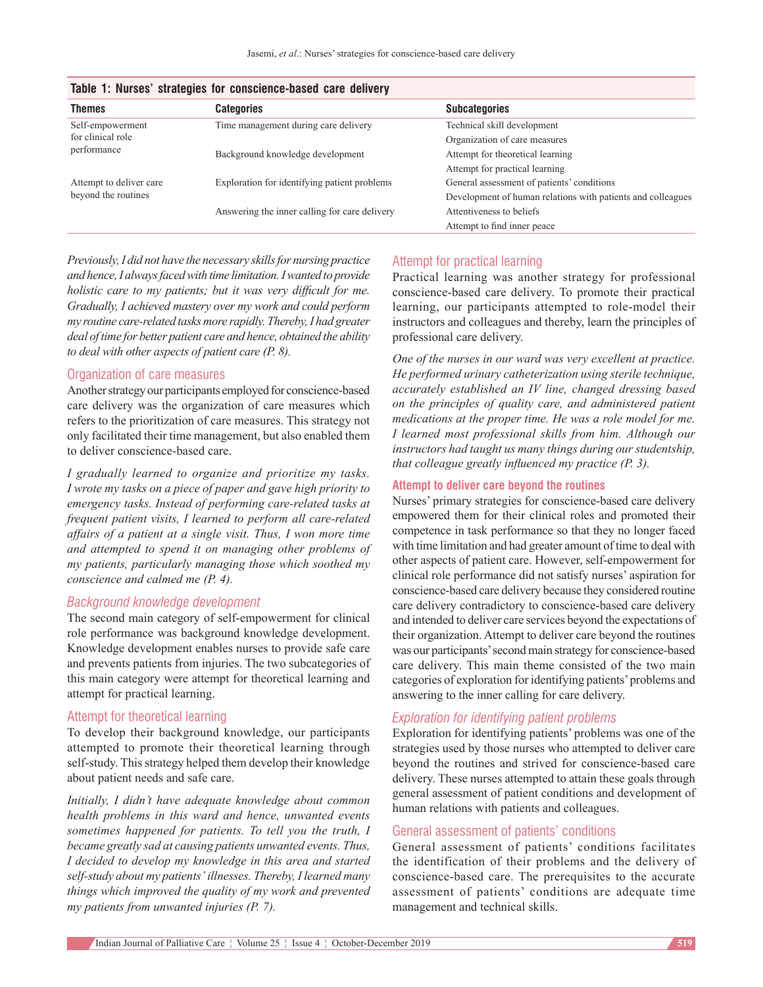| Table 1. Nurses Strategies for Conscience-Dased Care delivery |                                               |                                                             |
|---------------------------------------------------------------|-----------------------------------------------|-------------------------------------------------------------|
| Themes                                                        | <b>Categories</b>                             | <b>Subcategories</b>                                        |
| Self-empowerment<br>for clinical role<br>performance          | Time management during care delivery          | Technical skill development                                 |
|                                                               |                                               | Organization of care measures                               |
|                                                               | Background knowledge development              | Attempt for theoretical learning                            |
|                                                               |                                               | Attempt for practical learning                              |
| Attempt to deliver care<br>beyond the routines                | Exploration for identifying patient problems  | General assessment of patients' conditions                  |
|                                                               |                                               | Development of human relations with patients and colleagues |
|                                                               | Answering the inner calling for care delivery | Attentiveness to beliefs                                    |
|                                                               |                                               | Attempt to find inner peace                                 |

**Table 1: Nurses' strategies for conscience‑based care delivery**

*Previously,I did not have the necessary skillsfor nursing practice and hence,I alwaysfacedwith time limitation. Iwanted to provide holistic care to my patients; but it was very difficult for me. Gradually, I achieved mastery over my work and could perform my routine care‑related tasksmore rapidly. Thereby,I had greater deal of time for better patient care and hence, obtained the ability to deal with other aspects of patient care (P. 8).*

#### Organization of care measures

Another strategy our participants employed for conscience-based care delivery was the organization of care measures which refers to the prioritization of care measures. This strategy not only facilitated their time management, but also enabled them to deliver conscience-based care.

*I gradually learned to organize and prioritize my tasks. I wrote my tasks on a piece of paper and gave high priority to emergency tasks. Instead of performing care‑related tasks at frequent patient visits, I learned to perform all care‑related affairs of a patient at a single visit. Thus, I won more time and attempted to spend it on managing other problems of my patients, particularly managing those which soothed my conscience and calmed me (P. 4).*

## *Background knowledge development*

The second main category of self-empowerment for clinical role performance was background knowledge development. Knowledge development enables nurses to provide safe care and prevents patients from injuries. The two subcategories of this main category were attempt for theoretical learning and attempt for practical learning.

## Attempt for theoretical learning

To develop their background knowledge, our participants attempted to promote their theoretical learning through self-study. This strategy helped them develop their knowledge about patient needs and safe care.

*Initially, I didn't have adequate knowledge about common health problems in this ward and hence, unwanted events sometimes happened for patients. To tell you the truth, I became greatly sad at causing patients unwanted events. Thus, I decided to develop my knowledge in this area and started self‑study about my patients' illnesses. Thereby, I learned many things which improved the quality of my work and prevented my patients from unwanted injuries (P. 7).*

# Attempt for practical learning

Practical learning was another strategy for professional conscience‑based care delivery. To promote their practical learning, our participants attempted to role-model their instructors and colleagues and thereby, learn the principles of professional care delivery.

*One of the nurses in our ward was very excellent at practice. He performed urinary catheterization using sterile technique, accurately established an IV line, changed dressing based on the principles of quality care, and administered patient medications at the proper time. He was a role model for me. I learned most professional skills from him. Although our instructors had taught us many things during our studentship, that colleague greatly influenced my practice (P. 3).*

#### **Attempt to deliver care beyond the routines**

Nurses' primary strategies for conscience-based care delivery empowered them for their clinical roles and promoted their competence in task performance so that they no longer faced with time limitation and had greater amount of time to deal with other aspects of patient care. However, self‑empowerment for clinical role performance did not satisfy nurses' aspiration for conscience-based care delivery because they considered routine care delivery contradictory to conscience-based care delivery and intended to deliver care services beyond the expectations of their organization. Attempt to deliver care beyond the routines was our participants' second main strategy for conscience-based care delivery. This main theme consisted of the two main categories of exploration for identifying patients' problems and answering to the inner calling for care delivery.

# *Exploration for identifying patient problems*

Exploration for identifying patients' problems was one of the strategies used by those nurses who attempted to deliver care beyond the routines and strived for conscience-based care delivery. These nurses attempted to attain these goals through general assessment of patient conditions and development of human relations with patients and colleagues.

#### General assessment of patients' conditions

General assessment of patients' conditions facilitates the identification of their problems and the delivery of conscience-based care. The prerequisites to the accurate assessment of patients' conditions are adequate time management and technical skills.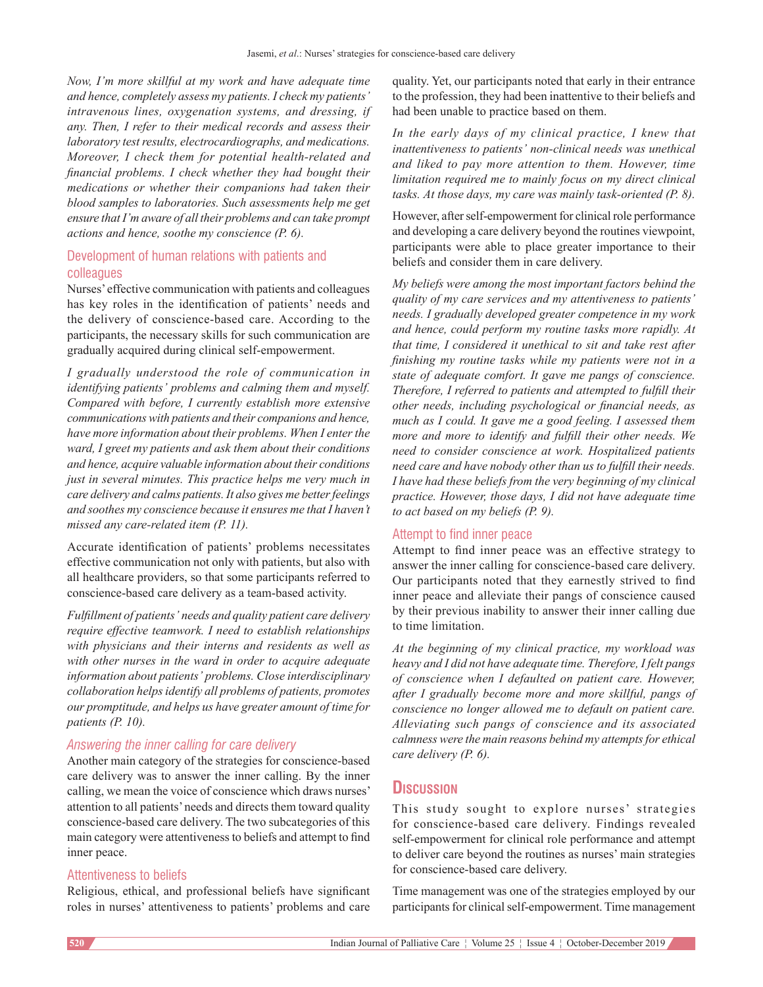*Now, I'm more skillful at my work and have adequate time and hence, completely assess my patients. I check my patients' intravenous lines, oxygenation systems, and dressing, if any. Then, I refer to their medical records and assess their laboratory testresults, electrocardiographs, and medications. Moreover, I check them for potential health‑related and financial problems. I check whether they had bought their medications or whether their companions had taken their blood samples to laboratories. Such assessments help me get ensure that I'm aware of all their problems and can take prompt actions and hence, soothe my conscience (P. 6).*

# Development of human relations with patients and colleagues

Nurses' effective communication with patients and colleagues has key roles in the identification of patients' needs and the delivery of conscience-based care. According to the participants, the necessary skills for such communication are gradually acquired during clinical self‑empowerment.

*I gradually understood the role of communication in identifying patients' problems and calming them and myself. Compared with before, I currently establish more extensive communicationswith patients and their companions and hence, have more information about their problems. When I enterthe ward, I greet my patients and ask them about their conditions and hence, acquire valuable information about their conditions just in several minutes. This practice helps me very much in care delivery and calms patients.It also gives me betterfeelings and soothes my conscience because it ensures me that I haven't missed any care‑related item (P. 11).*

Accurate identification of patients' problems necessitates effective communication not only with patients, but also with all healthcare providers, so that some participants referred to conscience-based care delivery as a team-based activity.

*Fulfillment of patients' needs and quality patient care delivery require effective teamwork. I need to establish relationships with physicians and their interns and residents as well as with other nurses in the ward in order to acquire adequate information about patients' problems. Close interdisciplinary collaboration helpsidentify all problems of patients, promotes our promptitude, and helps us have greater amount of time for patients (P. 10).*

# *Answering the inner calling for care delivery*

Another main category of the strategies for conscience-based care delivery was to answer the inner calling. By the inner calling, we mean the voice of conscience which draws nurses' attention to all patients' needs and directs them toward quality conscience-based care delivery. The two subcategories of this main category were attentiveness to beliefs and attempt to find inner peace.

## Attentiveness to beliefs

Religious, ethical, and professional beliefs have significant roles in nurses' attentiveness to patients' problems and care quality. Yet, our participants noted that early in their entrance to the profession, they had been inattentive to their beliefs and had been unable to practice based on them.

*In the early days of my clinical practice, I knew that inattentiveness to patients' non‑clinical needs was unethical and liked to pay more attention to them. However, time limitation required me to mainly focus on my direct clinical tasks. At those days, my care was mainly task‑oriented (P. 8).*

However, after self-empowerment for clinical role performance and developing a care delivery beyond the routines viewpoint, participants were able to place greater importance to their beliefs and consider them in care delivery.

*My beliefs were among the most important factors behind the quality of my care services and my attentiveness to patients' needs. I gradually developed greater competence in my work and hence, could perform my routine tasks more rapidly. At that time, I considered it unethical to sit and take rest after finishing my routine tasks while my patients were not in a state of adequate comfort. It gave me pangs of conscience. Therefore, I referred to patients and attempted to fulfill their other needs, including psychological or financial needs, as much as I could. It gave me a good feeling. I assessed them more and more to identify and fulfill their other needs. We need to consider conscience at work. Hospitalized patients need care and have nobody other than us to fulfill their needs. I have had these beliefs from the very beginning of my clinical practice. However, those days, I did not have adequate time to act based on my beliefs (P. 9).*

# Attempt to find inner peace

Attempt to find inner peace was an effective strategy to answer the inner calling for conscience-based care delivery. Our participants noted that they earnestly strived to find inner peace and alleviate their pangs of conscience caused by their previous inability to answer their inner calling due to time limitation.

*At the beginning of my clinical practice, my workload was heavy and I did not have adequate time. Therefore, I felt pangs of conscience when I defaulted on patient care. However, after I gradually become more and more skillful, pangs of conscience no longer allowed me to default on patient care. Alleviating such pangs of conscience and its associated calmness were the main reasons behind my attemptsfor ethical care delivery (P. 6).*

# **Discussion**

This study sought to explore nurses' strategies for conscience-based care delivery. Findings revealed self-empowerment for clinical role performance and attempt to deliver care beyond the routines as nurses' main strategies for conscience-based care delivery.

Time management was one of the strategies employed by our participants for clinical self-empowerment. Time management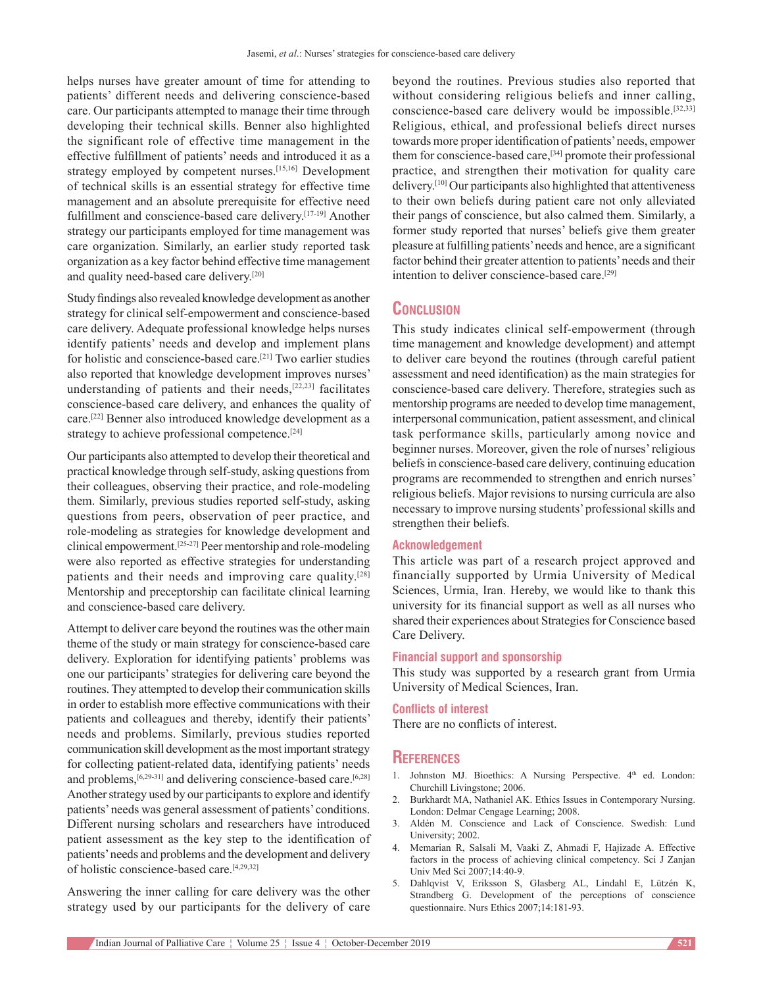helps nurses have greater amount of time for attending to patients' different needs and delivering conscience-based care. Our participants attempted to manage their time through developing their technical skills. Benner also highlighted the significant role of effective time management in the effective fulfillment of patients' needs and introduced it as a strategy employed by competent nurses.[15,16] Development of technical skills is an essential strategy for effective time management and an absolute prerequisite for effective need fulfillment and conscience-based care delivery.<sup>[17-19]</sup> Another strategy our participants employed for time management was care organization. Similarly, an earlier study reported task organization as a key factor behind effective time management and quality need-based care delivery.<sup>[20]</sup>

Study findings also revealed knowledge development as another strategy for clinical self-empowerment and conscience-based care delivery. Adequate professional knowledge helps nurses identify patients' needs and develop and implement plans for holistic and conscience-based care.<sup>[21]</sup> Two earlier studies also reported that knowledge development improves nurses' understanding of patients and their needs, $[22,23]$  facilitates conscience-based care delivery, and enhances the quality of care.[22] Benner also introduced knowledge development as a strategy to achieve professional competence.<sup>[24]</sup>

Our participants also attempted to develop their theoretical and practical knowledge through self‑study, asking questions from their colleagues, observing their practice, and role‑modeling them. Similarly, previous studies reported self‑study, asking questions from peers, observation of peer practice, and role‑modeling as strategies for knowledge development and clinical empowerment.[25‑27] Peer mentorship and role‑modeling were also reported as effective strategies for understanding patients and their needs and improving care quality.<sup>[28]</sup> Mentorship and preceptorship can facilitate clinical learning and conscience‑based care delivery.

Attempt to deliver care beyond the routines was the other main theme of the study or main strategy for conscience-based care delivery. Exploration for identifying patients' problems was one our participants' strategies for delivering care beyond the routines. They attempted to develop their communication skills in order to establish more effective communications with their patients and colleagues and thereby, identify their patients' needs and problems. Similarly, previous studies reported communication skill development as the most important strategy for collecting patient-related data, identifying patients' needs and problems,  $[6,29-31]$  and delivering conscience-based care.  $[6,28]$ Another strategy used by our participants to explore and identify patients' needs was general assessment of patients' conditions. Different nursing scholars and researchers have introduced patient assessment as the key step to the identification of patients' needs and problems and the development and delivery of holistic conscience-based care.<sup>[4,29,32]</sup>

Answering the inner calling for care delivery was the other strategy used by our participants for the delivery of care beyond the routines. Previous studies also reported that without considering religious beliefs and inner calling, conscience-based care delivery would be impossible.<sup>[32,33]</sup> Religious, ethical, and professional beliefs direct nurses towards more proper identification of patients' needs, empower them for conscience-based care,<sup>[34]</sup> promote their professional practice, and strengthen their motivation for quality care delivery.<sup>[10]</sup> Our participants also highlighted that attentiveness to their own beliefs during patient care not only alleviated their pangs of conscience, but also calmed them. Similarly, a former study reported that nurses' beliefs give them greater pleasure at fulfilling patients' needs and hence, are a significant factor behind their greater attention to patients' needs and their intention to deliver conscience-based care.<sup>[29]</sup>

# **Conclusion**

This study indicates clinical self-empowerment (through time management and knowledge development) and attempt to deliver care beyond the routines (through careful patient assessment and need identification) as the main strategies for conscience-based care delivery. Therefore, strategies such as mentorship programs are needed to develop time management, interpersonal communication, patient assessment, and clinical task performance skills, particularly among novice and beginner nurses. Moreover, given the role of nurses' religious beliefs in conscience-based care delivery, continuing education programs are recommended to strengthen and enrich nurses' religious beliefs. Major revisions to nursing curricula are also necessary to improve nursing students' professional skills and strengthen their beliefs.

#### **Acknowledgement**

This article was part of a research project approved and financially supported by Urmia University of Medical Sciences, Urmia, Iran. Hereby, we would like to thank this university for its financial support as well as all nurses who shared their experiences about Strategies for Conscience based Care Delivery.

# **Financial support and sponsorship**

This study was supported by a research grant from Urmia University of Medical Sciences, Iran.

#### **Conflicts of interest**

There are no conflicts of interest.

#### **References**

- 1. Johnston MJ. Bioethics: A Nursing Perspective. 4<sup>th</sup> ed. London: Churchill Livingstone; 2006.
- 2. Burkhardt MA, Nathaniel AK. Ethics Issues in Contemporary Nursing. London: Delmar Cengage Learning; 2008.
- 3. Aldén M. Conscience and Lack of Conscience. Swedish: Lund University; 2002.
- 4. Memarian R, Salsali M, Vaaki Z, Ahmadi F, Hajizade A. Effective factors in the process of achieving clinical competency. Sci J Zanjan Univ Med Sci 2007;14:40‑9.
- 5. Dahlqvist V, Eriksson S, Glasberg AL, Lindahl E, Lützén K, Strandberg G. Development of the perceptions of conscience questionnaire. Nurs Ethics 2007;14:181-93.